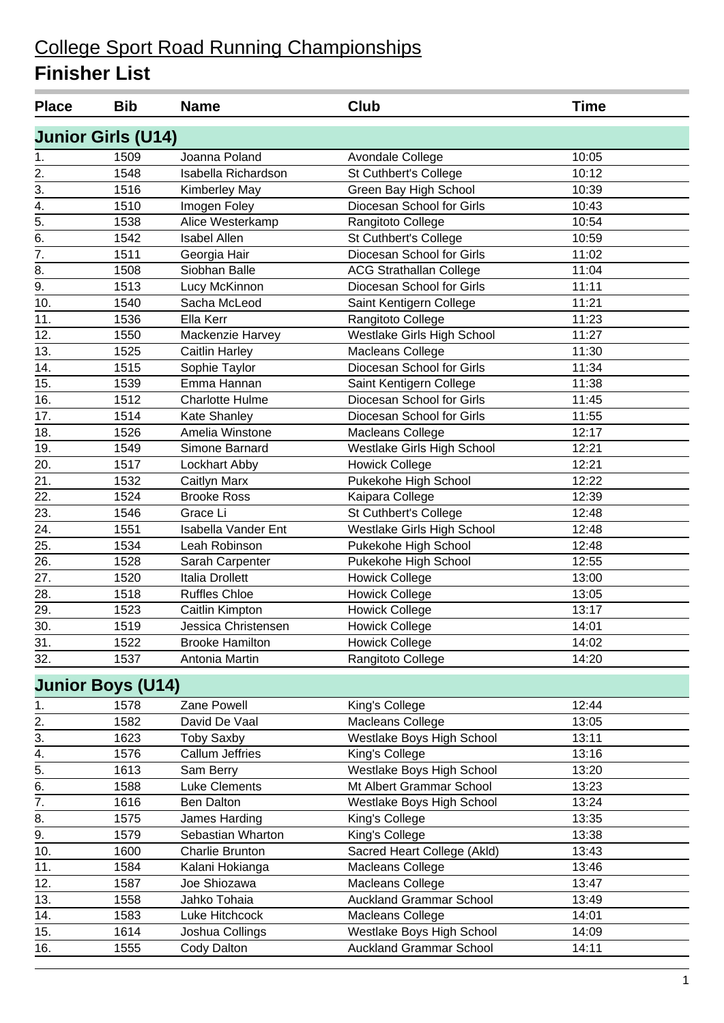| <b>Place</b>                         | <b>Bib</b>                | <b>Name</b>                | <b>Club</b>                    | <b>Time</b> |  |
|--------------------------------------|---------------------------|----------------------------|--------------------------------|-------------|--|
|                                      | <b>Junior Girls (U14)</b> |                            |                                |             |  |
| 1.                                   | 1509                      | Joanna Poland              | Avondale College               | 10:05       |  |
| 2.                                   | 1548                      | Isabella Richardson        | St Cuthbert's College          | 10:12       |  |
| 3.                                   | 1516                      | Kimberley May              | Green Bay High School          | 10:39       |  |
| $\overline{4}$ .                     | 1510                      | Imogen Foley               | Diocesan School for Girls      | 10:43       |  |
| 5.                                   | 1538                      | Alice Westerkamp           | Rangitoto College              | 10:54       |  |
| $\overline{6}$ .                     | 1542                      | <b>Isabel Allen</b>        | St Cuthbert's College          | 10:59       |  |
| $\overline{7}$ .                     | 1511                      | Georgia Hair               | Diocesan School for Girls      | 11:02       |  |
| 8.                                   | 1508                      | Siobhan Balle              | <b>ACG Strathallan College</b> | 11:04       |  |
| 9.                                   | 1513                      | Lucy McKinnon              | Diocesan School for Girls      | 11:11       |  |
| 10.                                  | 1540                      | Sacha McLeod               | Saint Kentigern College        | 11:21       |  |
| 11.                                  | 1536                      | Ella Kerr                  | Rangitoto College              | 11:23       |  |
| 12.                                  | 1550                      | Mackenzie Harvey           | Westlake Girls High School     | 11:27       |  |
| 13.                                  | 1525                      | <b>Caitlin Harley</b>      | Macleans College               | 11:30       |  |
| 14.                                  | 1515                      | Sophie Taylor              | Diocesan School for Girls      | 11:34       |  |
| 15.                                  | 1539                      | Emma Hannan                | Saint Kentigern College        | 11:38       |  |
| 16.                                  | 1512                      | <b>Charlotte Hulme</b>     | Diocesan School for Girls      | 11:45       |  |
| 17.                                  | 1514                      | <b>Kate Shanley</b>        | Diocesan School for Girls      | 11:55       |  |
| 18.                                  | 1526                      | Amelia Winstone            | Macleans College               | 12:17       |  |
| 19.                                  | 1549                      | Simone Barnard             | Westlake Girls High School     | 12:21       |  |
| 20.                                  | 1517                      | Lockhart Abby              | <b>Howick College</b>          | 12:21       |  |
| 21.                                  | 1532                      | Caitlyn Marx               | Pukekohe High School           | 12:22       |  |
| 22.                                  | 1524                      | <b>Brooke Ross</b>         | Kaipara College                | 12:39       |  |
| 23.                                  | 1546                      | Grace Li                   | St Cuthbert's College          | 12:48       |  |
| 24.                                  | 1551                      | <b>Isabella Vander Ent</b> | Westlake Girls High School     | 12:48       |  |
| 25.                                  | 1534                      | Leah Robinson              | Pukekohe High School           | 12:48       |  |
| 26.                                  | 1528                      | Sarah Carpenter            | Pukekohe High School           | 12:55       |  |
| 27.                                  | 1520                      | Italia Drollett            | <b>Howick College</b>          | 13:00       |  |
| 28.                                  | 1518                      | <b>Ruffles Chloe</b>       | <b>Howick College</b>          | 13:05       |  |
| 29.                                  | 1523                      | Caitlin Kimpton            | <b>Howick College</b>          | 13:17       |  |
| 30.                                  | 1519                      | Jessica Christensen        | <b>Howick College</b>          | 14:01       |  |
| $\overline{31}$ .                    | 1522                      | <b>Brooke Hamilton</b>     | <b>Howick College</b>          | 14:02       |  |
| 32.                                  | 1537                      | Antonia Martin             | Rangitoto College              | 14:20       |  |
|                                      |                           |                            |                                |             |  |
|                                      | <b>Junior Boys (U14)</b>  |                            |                                |             |  |
| 1.                                   | 1578                      | Zane Powell                | King's College                 | 12:44       |  |
| $\overline{2}$ .<br>$\overline{3}$ . | 1582                      | David De Vaal              | Macleans College               | 13:05       |  |
|                                      | 1623                      | <b>Toby Saxby</b>          | Westlake Boys High School      | 13:11       |  |
| $\frac{4}{5}$                        | 1576                      | <b>Callum Jeffries</b>     | King's College                 | 13:16       |  |
| $\overline{6}$ .                     | 1613                      | Sam Berry                  | Westlake Boys High School      | 13:20       |  |
| $\overline{7}$ .                     | 1588                      | <b>Luke Clements</b>       | Mt Albert Grammar School       | 13:23       |  |
|                                      | 1616                      | Ben Dalton                 | Westlake Boys High School      | 13:24       |  |
| 8.                                   | 1575                      | James Harding              | King's College                 | 13:35       |  |
| 9.                                   | 1579                      | Sebastian Wharton          | King's College                 | 13:38       |  |
| 10.                                  | 1600                      | Charlie Brunton            | Sacred Heart College (Akld)    | 13:43       |  |
| 11.                                  | 1584                      | Kalani Hokianga            | Macleans College               | 13:46       |  |
| 12.                                  | 1587                      | Joe Shiozawa               | Macleans College               | 13:47       |  |
| 13.                                  | 1558                      | Jahko Tohaia               | <b>Auckland Grammar School</b> | 13:49       |  |
| 14.                                  | 1583                      | Luke Hitchcock             | Macleans College               | 14:01       |  |
| 15.                                  | 1614                      | Joshua Collings            | Westlake Boys High School      | 14:09       |  |
| 16.                                  | 1555                      | <b>Cody Dalton</b>         | <b>Auckland Grammar School</b> | 14:11       |  |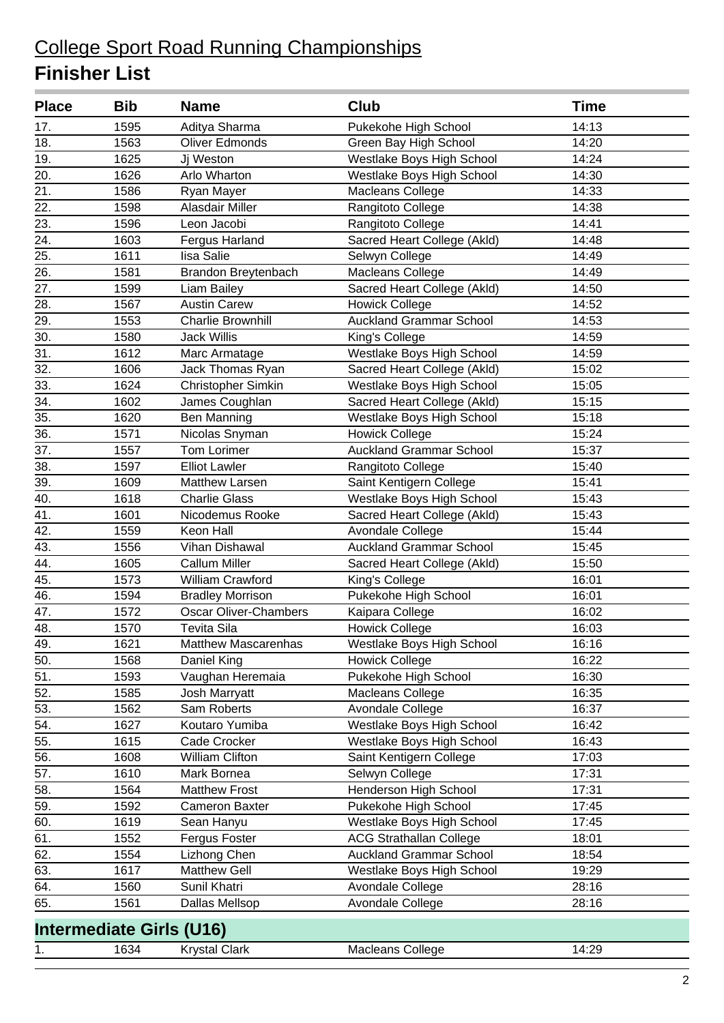| <b>Place</b>      | <b>Bib</b> | <b>Name</b>                     | Club                           | <b>Time</b> |
|-------------------|------------|---------------------------------|--------------------------------|-------------|
| 17.               | 1595       | Aditya Sharma                   | Pukekohe High School           | 14:13       |
| 18.               | 1563       | Oliver Edmonds                  | Green Bay High School          | 14:20       |
| 19.               | 1625       | Jj Weston                       | Westlake Boys High School      | 14:24       |
| 20.               | 1626       | Arlo Wharton                    | Westlake Boys High School      | 14:30       |
| 21.               | 1586       | Ryan Mayer                      | <b>Macleans College</b>        | 14:33       |
| 22.               | 1598       | Alasdair Miller                 | Rangitoto College              | 14:38       |
| 23.               | 1596       | Leon Jacobi                     | Rangitoto College              | 14:41       |
| $\overline{24}$ . | 1603       | Fergus Harland                  | Sacred Heart College (Akld)    | 14:48       |
| 25.               | 1611       | lisa Salie                      | Selwyn College                 | 14:49       |
| 26.               | 1581       | Brandon Breytenbach             | Macleans College               | 14:49       |
| 27.               | 1599       | Liam Bailey                     | Sacred Heart College (Akld)    | 14:50       |
| 28.               | 1567       | <b>Austin Carew</b>             | <b>Howick College</b>          | 14:52       |
| 29.               | 1553       | <b>Charlie Brownhill</b>        | <b>Auckland Grammar School</b> | 14:53       |
| 30.               | 1580       | <b>Jack Willis</b>              | King's College                 | 14:59       |
| 31.               | 1612       | Marc Armatage                   | Westlake Boys High School      | 14:59       |
| $\overline{32}$ . | 1606       | Jack Thomas Ryan                | Sacred Heart College (Akld)    | 15:02       |
| $\overline{33}$ . | 1624       | <b>Christopher Simkin</b>       | Westlake Boys High School      | 15:05       |
| 34.               | 1602       | James Coughlan                  | Sacred Heart College (Akld)    | 15:15       |
| 35.               | 1620       | <b>Ben Manning</b>              | Westlake Boys High School      | 15:18       |
| 36.               | 1571       | Nicolas Snyman                  | Howick College                 | 15:24       |
| 37.               | 1557       | <b>Tom Lorimer</b>              | <b>Auckland Grammar School</b> | 15:37       |
| 38.               | 1597       | <b>Elliot Lawler</b>            | Rangitoto College              | 15:40       |
| 39.               | 1609       | Matthew Larsen                  | Saint Kentigern College        | 15:41       |
| 40.               | 1618       | <b>Charlie Glass</b>            | Westlake Boys High School      | 15:43       |
| 41.               | 1601       | Nicodemus Rooke                 | Sacred Heart College (Akld)    | 15:43       |
| 42.               | 1559       | Keon Hall                       | Avondale College               | 15:44       |
| 43.               | 1556       | Vihan Dishawal                  | <b>Auckland Grammar School</b> | 15:45       |
| 44.               | 1605       | <b>Callum Miller</b>            | Sacred Heart College (Akld)    | 15:50       |
| 45.               | 1573       | <b>William Crawford</b>         | King's College                 | 16:01       |
| 46.               | 1594       | <b>Bradley Morrison</b>         | Pukekohe High School           | 16:01       |
| 47.               | 1572       | <b>Oscar Oliver-Chambers</b>    | Kaipara College                | 16:02       |
| 48.               | 1570       | <b>Tevita Sila</b>              | <b>Howick College</b>          | 16:03       |
| 49.               | 1621       | <b>Matthew Mascarenhas</b>      | Westlake Boys High School      | 16:16       |
| 50.               | 1568       | Daniel King                     | <b>Howick College</b>          | 16:22       |
| 51.               | 1593       | Vaughan Heremaia                | Pukekohe High School           | 16:30       |
| 52.               | 1585       | Josh Marryatt                   | Macleans College               | 16:35       |
| 53.               | 1562       | Sam Roberts                     | Avondale College               | 16:37       |
| 54.               | 1627       | Koutaro Yumiba                  | Westlake Boys High School      | 16:42       |
| 55.               | 1615       | Cade Crocker                    | Westlake Boys High School      | 16:43       |
| $\overline{56}$ . | 1608       | <b>William Clifton</b>          | Saint Kentigern College        | 17:03       |
| 57.               | 1610       | Mark Bornea                     | Selwyn College                 | 17:31       |
| 58.               | 1564       | <b>Matthew Frost</b>            | Henderson High School          | 17:31       |
| 59.               | 1592       | <b>Cameron Baxter</b>           | Pukekohe High School           | 17:45       |
| 60.               | 1619       | Sean Hanyu                      | Westlake Boys High School      | 17:45       |
| 61.               | 1552       | Fergus Foster                   | <b>ACG Strathallan College</b> | 18:01       |
| 62.               | 1554       | Lizhong Chen                    | <b>Auckland Grammar School</b> | 18:54       |
| 63.               | 1617       | Matthew Gell                    | Westlake Boys High School      | 19:29       |
| 64.               | 1560       | Sunil Khatri                    | Avondale College               | 28:16       |
| 65.               | 1561       | Dallas Mellsop                  | Avondale College               | 28:16       |
|                   |            | <b>Intermediate Girls (U16)</b> |                                |             |
| 1.                | 1634       | <b>Krystal Clark</b>            | Macleans College               | 14:29       |
|                   |            |                                 |                                |             |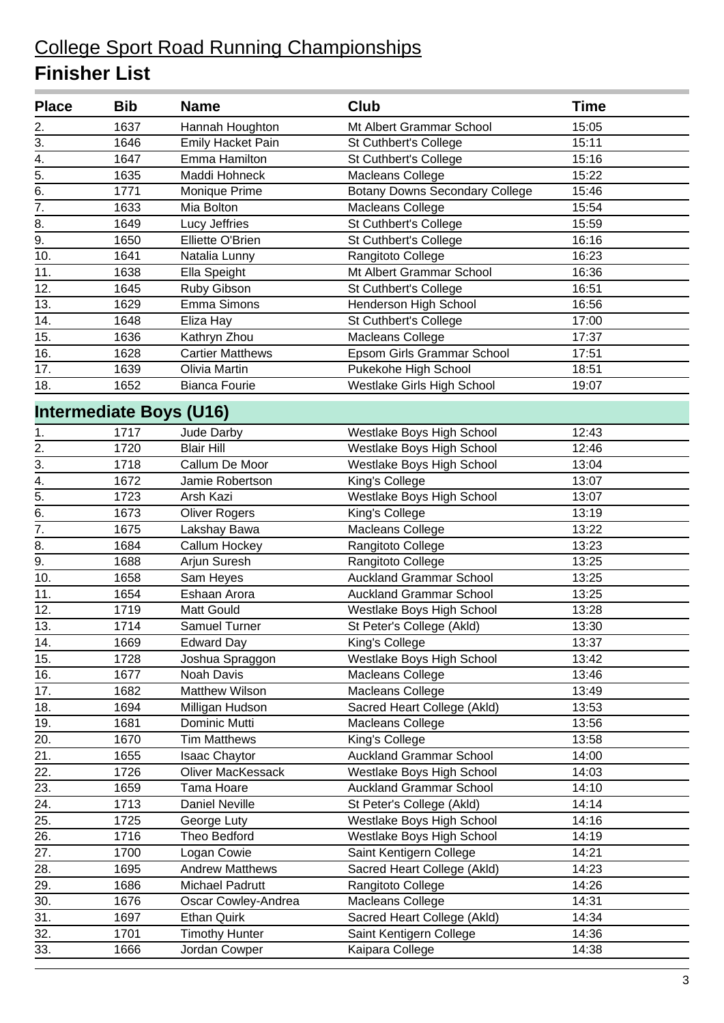| <b>Place</b>      | <b>Bib</b> | <b>Name</b>                    | Club                                  | <b>Time</b> |
|-------------------|------------|--------------------------------|---------------------------------------|-------------|
| 2.                | 1637       | Hannah Houghton                | Mt Albert Grammar School              | 15:05       |
| 3.                | 1646       | <b>Emily Hacket Pain</b>       | St Cuthbert's College                 | 15:11       |
| 4.                | 1647       | Emma Hamilton                  | St Cuthbert's College                 | 15:16       |
| $\overline{5}$ .  | 1635       | Maddi Hohneck                  | Macleans College                      | 15:22       |
| 6.                | 1771       | Monique Prime                  | <b>Botany Downs Secondary College</b> | 15:46       |
| $\overline{7}$ .  | 1633       | Mia Bolton                     | Macleans College                      | 15:54       |
| 8.                | 1649       | Lucy Jeffries                  | St Cuthbert's College                 | 15:59       |
| 9.                | 1650       | Elliette O'Brien               | St Cuthbert's College                 | 16:16       |
| 10.               | 1641       | Natalia Lunny                  | Rangitoto College                     | 16:23       |
| 11.               | 1638       | Ella Speight                   | Mt Albert Grammar School              | 16:36       |
| 12.               | 1645       | Ruby Gibson                    | St Cuthbert's College                 | 16:51       |
| 13.               | 1629       | Emma Simons                    | Henderson High School                 | 16:56       |
| 14.               | 1648       | Eliza Hay                      | St Cuthbert's College                 | 17:00       |
| 15.               | 1636       | Kathryn Zhou                   | <b>Macleans College</b>               | 17:37       |
| 16.               | 1628       | <b>Cartier Matthews</b>        | Epsom Girls Grammar School            | 17:51       |
| 17.               | 1639       | Olivia Martin                  | Pukekohe High School                  | 18:51       |
| 18.               | 1652       | <b>Bianca Fourie</b>           | Westlake Girls High School            | 19:07       |
|                   |            | <b>Intermediate Boys (U16)</b> |                                       |             |
| 1.                | 1717       | Jude Darby                     | Westlake Boys High School             | 12:43       |
| 2.                | 1720       | <b>Blair Hill</b>              | Westlake Boys High School             | 12:46       |
| 3.                | 1718       | Callum De Moor                 | Westlake Boys High School             | 13:04       |
| 4.                | 1672       | Jamie Robertson                | King's College                        | 13:07       |
| $\overline{5}$ .  | 1723       | Arsh Kazi                      | Westlake Boys High School             | 13:07       |
| 6.                | 1673       | <b>Oliver Rogers</b>           | King's College                        | 13:19       |
| 7.                | 1675       | Lakshay Bawa                   | <b>Macleans College</b>               | 13:22       |
| 8.                | 1684       | Callum Hockey                  | Rangitoto College                     | 13:23       |
| $\overline{9}$ .  | 1688       | Arjun Suresh                   | Rangitoto College                     | 13:25       |
| 10.               | 1658       | Sam Heyes                      | <b>Auckland Grammar School</b>        | 13:25       |
| 11.               | 1654       | Eshaan Arora                   | <b>Auckland Grammar School</b>        | 13:25       |
| 12.               | 1719       | Matt Gould                     | Westlake Boys High School             | 13:28       |
| 13.               | 1714       | Samuel Turner                  | St Peter's College (Akld)             | 13:30       |
| $\overline{14}$ . | 1669       | <b>Edward Day</b>              | King's College                        | 13:37       |
| 15.               | 1728       | Joshua Spraggon                | Westlake Boys High School             | 13:42       |
| 16.               | 1677       | Noah Davis                     | Macleans College                      | 13:46       |
| 17.               | 1682       | <b>Matthew Wilson</b>          | Macleans College                      | 13:49       |
| 18.               | 1694       | Milligan Hudson                | Sacred Heart College (Akld)           | 13:53       |
| 19.               | 1681       | Dominic Mutti                  | Macleans College                      | 13:56       |
| 20.               | 1670       | <b>Tim Matthews</b>            | King's College                        | 13:58       |
| 21.               | 1655       | <b>Isaac Chaytor</b>           | <b>Auckland Grammar School</b>        | 14:00       |
| 22.               | 1726       | <b>Oliver MacKessack</b>       | Westlake Boys High School             | 14:03       |
| 23.               | 1659       | Tama Hoare                     | <b>Auckland Grammar School</b>        | 14:10       |
| 24.               | 1713       | Daniel Neville                 | St Peter's College (Akld)             | 14:14       |
| 25.               | 1725       | George Luty                    | Westlake Boys High School             | 14:16       |
| 26.               | 1716       | Theo Bedford                   | Westlake Boys High School             | 14:19       |
| 27.               | 1700       | Logan Cowie                    | Saint Kentigern College               | 14:21       |
| 28.               | 1695       | <b>Andrew Matthews</b>         | Sacred Heart College (Akld)           | 14:23       |
| 29.               | 1686       | Michael Padrutt                | Rangitoto College                     | 14:26       |
| 30.               | 1676       | Oscar Cowley-Andrea            | Macleans College                      | 14:31       |
| 31.               | 1697       | <b>Ethan Quirk</b>             | Sacred Heart College (Akld)           | 14:34       |
| 32.               | 1701       | <b>Timothy Hunter</b>          | Saint Kentigern College               | 14:36       |
| 33.               | 1666       | Jordan Cowper                  | Kaipara College                       | 14:38       |
|                   |            |                                |                                       |             |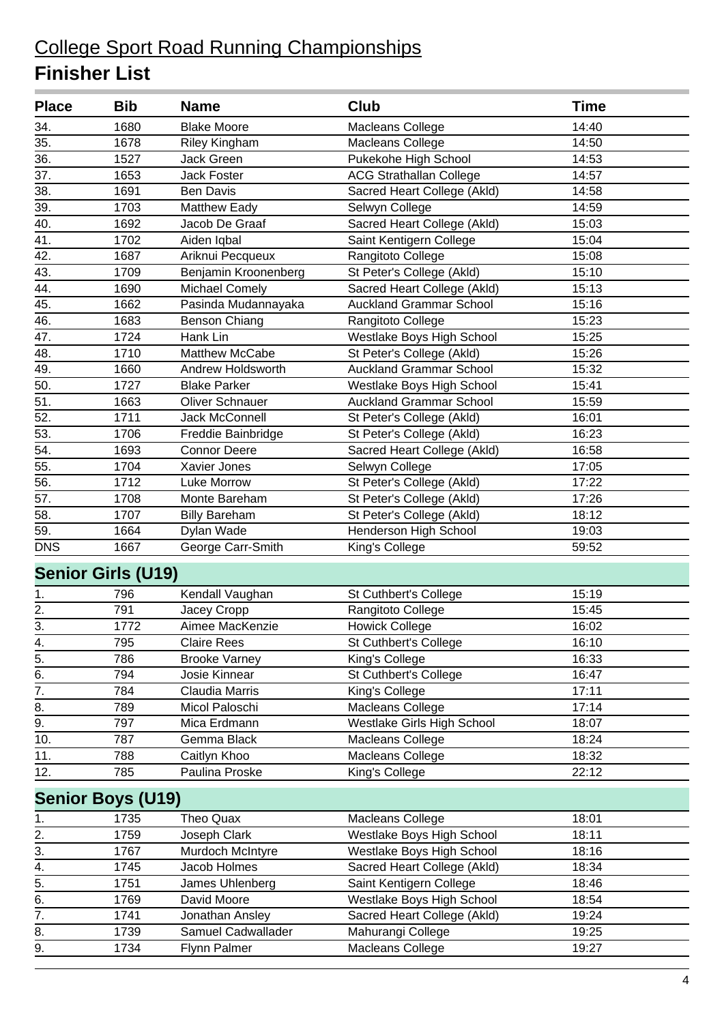| 14:40<br>34.<br>1680<br><b>Blake Moore</b><br>Macleans College<br>35.<br>1678<br>14:50<br><b>Riley Kingham</b><br>Macleans College<br>36.<br>1527<br><b>Jack Green</b><br>Pukekohe High School<br>14:53<br>$\overline{37}$ .<br>1653<br>Jack Foster<br><b>ACG Strathallan College</b><br>14:57<br>38.<br>Sacred Heart College (Akld)<br>14:58<br>1691<br><b>Ben Davis</b><br>39.<br>1703<br><b>Matthew Eady</b><br>Selwyn College<br>14:59<br>40.<br>1692<br>Sacred Heart College (Akld)<br>Jacob De Graaf<br>15:03<br>41.<br>Saint Kentigern College<br>15:04<br>1702<br>Aiden Iqbal<br>42.<br>1687<br>Rangitoto College<br>15:08<br>Ariknui Pecqueux<br>43.<br>1709<br>Benjamin Kroonenberg<br>St Peter's College (Akld)<br>15:10<br>44.<br><b>Michael Comely</b><br>Sacred Heart College (Akld)<br>1690<br>15:13<br>45.<br>1662<br>Pasinda Mudannayaka<br><b>Auckland Grammar School</b><br>15:16<br>46.<br>15:23<br>1683<br><b>Benson Chiang</b><br>Rangitoto College<br>47.<br>1724<br>Hank Lin<br>Westlake Boys High School<br>15:25<br>48.<br>Matthew McCabe<br>1710<br>St Peter's College (Akld)<br>15:26<br>49.<br><b>Auckland Grammar School</b><br>1660<br>Andrew Holdsworth<br>15:32<br>50.<br>1727<br><b>Blake Parker</b><br>Westlake Boys High School<br>15:41<br>51.<br><b>Oliver Schnauer</b><br><b>Auckland Grammar School</b><br>1663<br>15:59<br>52.<br>1711<br>Jack McConnell<br>St Peter's College (Akld)<br>16:01<br>$\overline{53}$ .<br>1706<br>St Peter's College (Akld)<br>16:23<br>Freddie Bainbridge<br>$\overline{54}$ .<br>1693<br><b>Connor Deere</b><br>Sacred Heart College (Akld)<br>16:58<br>55.<br>17:05<br>1704<br>Xavier Jones<br>Selwyn College<br>56.<br>1712<br>Luke Morrow<br>St Peter's College (Akld)<br>17:22<br>57.<br>St Peter's College (Akld)<br>17:26<br>1708<br>Monte Bareham<br>58.<br>1707<br>St Peter's College (Akld)<br><b>Billy Bareham</b><br>18:12<br>Henderson High School<br>59.<br>1664<br>Dylan Wade<br>19:03<br>George Carr-Smith<br>1667<br>King's College<br>59:52<br><b>Senior Girls (U19)</b><br>Kendall Vaughan<br>15:19<br>796<br>St Cuthbert's College<br>1.<br>2.<br>791<br>Jacey Cropp<br>Rangitoto College<br>15:45<br>$\overline{3}$ .<br>Aimee MacKenzie<br>1772<br><b>Howick College</b><br>16:02<br>795<br><b>Claire Rees</b><br>St Cuthbert's College<br>16:10<br>4.<br>$\overline{5}$ .<br>16:33<br>786<br><b>Brooke Varney</b><br>King's College<br>$\overline{6}$ .<br>794<br>Josie Kinnear<br>St Cuthbert's College<br>16:47<br>$\overline{7}$ .<br>784<br>Claudia Marris<br>King's College<br>17:11<br>8.<br>789<br>17:14<br>Micol Paloschi<br>Macleans College<br>$\overline{9}$ .<br>797<br>Mica Erdmann<br>Westlake Girls High School<br>18:07<br>10.<br>787<br>Gemma Black<br>Macleans College<br>18:24<br>11.<br>788<br>Caitlyn Khoo<br>Macleans College<br>18:32<br>12.<br>785<br>Paulina Proske<br>King's College<br>22:12<br><b>Senior Boys (U19)</b><br>1735<br>Theo Quax<br>Macleans College<br>18:01<br>1.<br>$\frac{2}{3}$<br>1759<br>Westlake Boys High School<br>18:11<br>Joseph Clark<br>1767<br>Westlake Boys High School<br>18:16<br>Murdoch McIntyre<br>4.<br>1745<br>Jacob Holmes<br>Sacred Heart College (Akld)<br>18:34<br>5.<br>Saint Kentigern College<br>1751<br>James Uhlenberg<br>18:46<br>6.<br>1769<br>David Moore<br>Westlake Boys High School<br>18:54<br>7.<br>Sacred Heart College (Akld)<br>1741<br>Jonathan Ansley<br>19:24<br>8.<br>1739<br>Samuel Cadwallader<br>Mahurangi College<br>19:25 | <b>Place</b> | <b>Bib</b> | <b>Name</b>  | <b>Club</b>      | <b>Time</b> |
|---------------------------------------------------------------------------------------------------------------------------------------------------------------------------------------------------------------------------------------------------------------------------------------------------------------------------------------------------------------------------------------------------------------------------------------------------------------------------------------------------------------------------------------------------------------------------------------------------------------------------------------------------------------------------------------------------------------------------------------------------------------------------------------------------------------------------------------------------------------------------------------------------------------------------------------------------------------------------------------------------------------------------------------------------------------------------------------------------------------------------------------------------------------------------------------------------------------------------------------------------------------------------------------------------------------------------------------------------------------------------------------------------------------------------------------------------------------------------------------------------------------------------------------------------------------------------------------------------------------------------------------------------------------------------------------------------------------------------------------------------------------------------------------------------------------------------------------------------------------------------------------------------------------------------------------------------------------------------------------------------------------------------------------------------------------------------------------------------------------------------------------------------------------------------------------------------------------------------------------------------------------------------------------------------------------------------------------------------------------------------------------------------------------------------------------------------------------------------------------------------------------------------------------------------------------------------------------------------------------------------------------------------------------------------------------------------------------------------------------------------------------------------------------------------------------------------------------------------------------------------------------------------------------------------------------------------------------------------------------------------------------------------------------------------------------------------------------------------------------------------------------------------------------------------------------------------------------------------------------------------------------------------------------------------------------------------------------------------------------------------------------------------------------------------------------------------------------------------------------------------------------------|--------------|------------|--------------|------------------|-------------|
|                                                                                                                                                                                                                                                                                                                                                                                                                                                                                                                                                                                                                                                                                                                                                                                                                                                                                                                                                                                                                                                                                                                                                                                                                                                                                                                                                                                                                                                                                                                                                                                                                                                                                                                                                                                                                                                                                                                                                                                                                                                                                                                                                                                                                                                                                                                                                                                                                                                                                                                                                                                                                                                                                                                                                                                                                                                                                                                                                                                                                                                                                                                                                                                                                                                                                                                                                                                                                                                                                                                     |              |            |              |                  |             |
|                                                                                                                                                                                                                                                                                                                                                                                                                                                                                                                                                                                                                                                                                                                                                                                                                                                                                                                                                                                                                                                                                                                                                                                                                                                                                                                                                                                                                                                                                                                                                                                                                                                                                                                                                                                                                                                                                                                                                                                                                                                                                                                                                                                                                                                                                                                                                                                                                                                                                                                                                                                                                                                                                                                                                                                                                                                                                                                                                                                                                                                                                                                                                                                                                                                                                                                                                                                                                                                                                                                     |              |            |              |                  |             |
|                                                                                                                                                                                                                                                                                                                                                                                                                                                                                                                                                                                                                                                                                                                                                                                                                                                                                                                                                                                                                                                                                                                                                                                                                                                                                                                                                                                                                                                                                                                                                                                                                                                                                                                                                                                                                                                                                                                                                                                                                                                                                                                                                                                                                                                                                                                                                                                                                                                                                                                                                                                                                                                                                                                                                                                                                                                                                                                                                                                                                                                                                                                                                                                                                                                                                                                                                                                                                                                                                                                     |              |            |              |                  |             |
|                                                                                                                                                                                                                                                                                                                                                                                                                                                                                                                                                                                                                                                                                                                                                                                                                                                                                                                                                                                                                                                                                                                                                                                                                                                                                                                                                                                                                                                                                                                                                                                                                                                                                                                                                                                                                                                                                                                                                                                                                                                                                                                                                                                                                                                                                                                                                                                                                                                                                                                                                                                                                                                                                                                                                                                                                                                                                                                                                                                                                                                                                                                                                                                                                                                                                                                                                                                                                                                                                                                     |              |            |              |                  |             |
|                                                                                                                                                                                                                                                                                                                                                                                                                                                                                                                                                                                                                                                                                                                                                                                                                                                                                                                                                                                                                                                                                                                                                                                                                                                                                                                                                                                                                                                                                                                                                                                                                                                                                                                                                                                                                                                                                                                                                                                                                                                                                                                                                                                                                                                                                                                                                                                                                                                                                                                                                                                                                                                                                                                                                                                                                                                                                                                                                                                                                                                                                                                                                                                                                                                                                                                                                                                                                                                                                                                     |              |            |              |                  |             |
|                                                                                                                                                                                                                                                                                                                                                                                                                                                                                                                                                                                                                                                                                                                                                                                                                                                                                                                                                                                                                                                                                                                                                                                                                                                                                                                                                                                                                                                                                                                                                                                                                                                                                                                                                                                                                                                                                                                                                                                                                                                                                                                                                                                                                                                                                                                                                                                                                                                                                                                                                                                                                                                                                                                                                                                                                                                                                                                                                                                                                                                                                                                                                                                                                                                                                                                                                                                                                                                                                                                     |              |            |              |                  |             |
|                                                                                                                                                                                                                                                                                                                                                                                                                                                                                                                                                                                                                                                                                                                                                                                                                                                                                                                                                                                                                                                                                                                                                                                                                                                                                                                                                                                                                                                                                                                                                                                                                                                                                                                                                                                                                                                                                                                                                                                                                                                                                                                                                                                                                                                                                                                                                                                                                                                                                                                                                                                                                                                                                                                                                                                                                                                                                                                                                                                                                                                                                                                                                                                                                                                                                                                                                                                                                                                                                                                     |              |            |              |                  |             |
|                                                                                                                                                                                                                                                                                                                                                                                                                                                                                                                                                                                                                                                                                                                                                                                                                                                                                                                                                                                                                                                                                                                                                                                                                                                                                                                                                                                                                                                                                                                                                                                                                                                                                                                                                                                                                                                                                                                                                                                                                                                                                                                                                                                                                                                                                                                                                                                                                                                                                                                                                                                                                                                                                                                                                                                                                                                                                                                                                                                                                                                                                                                                                                                                                                                                                                                                                                                                                                                                                                                     |              |            |              |                  |             |
|                                                                                                                                                                                                                                                                                                                                                                                                                                                                                                                                                                                                                                                                                                                                                                                                                                                                                                                                                                                                                                                                                                                                                                                                                                                                                                                                                                                                                                                                                                                                                                                                                                                                                                                                                                                                                                                                                                                                                                                                                                                                                                                                                                                                                                                                                                                                                                                                                                                                                                                                                                                                                                                                                                                                                                                                                                                                                                                                                                                                                                                                                                                                                                                                                                                                                                                                                                                                                                                                                                                     |              |            |              |                  |             |
|                                                                                                                                                                                                                                                                                                                                                                                                                                                                                                                                                                                                                                                                                                                                                                                                                                                                                                                                                                                                                                                                                                                                                                                                                                                                                                                                                                                                                                                                                                                                                                                                                                                                                                                                                                                                                                                                                                                                                                                                                                                                                                                                                                                                                                                                                                                                                                                                                                                                                                                                                                                                                                                                                                                                                                                                                                                                                                                                                                                                                                                                                                                                                                                                                                                                                                                                                                                                                                                                                                                     |              |            |              |                  |             |
|                                                                                                                                                                                                                                                                                                                                                                                                                                                                                                                                                                                                                                                                                                                                                                                                                                                                                                                                                                                                                                                                                                                                                                                                                                                                                                                                                                                                                                                                                                                                                                                                                                                                                                                                                                                                                                                                                                                                                                                                                                                                                                                                                                                                                                                                                                                                                                                                                                                                                                                                                                                                                                                                                                                                                                                                                                                                                                                                                                                                                                                                                                                                                                                                                                                                                                                                                                                                                                                                                                                     |              |            |              |                  |             |
|                                                                                                                                                                                                                                                                                                                                                                                                                                                                                                                                                                                                                                                                                                                                                                                                                                                                                                                                                                                                                                                                                                                                                                                                                                                                                                                                                                                                                                                                                                                                                                                                                                                                                                                                                                                                                                                                                                                                                                                                                                                                                                                                                                                                                                                                                                                                                                                                                                                                                                                                                                                                                                                                                                                                                                                                                                                                                                                                                                                                                                                                                                                                                                                                                                                                                                                                                                                                                                                                                                                     |              |            |              |                  |             |
|                                                                                                                                                                                                                                                                                                                                                                                                                                                                                                                                                                                                                                                                                                                                                                                                                                                                                                                                                                                                                                                                                                                                                                                                                                                                                                                                                                                                                                                                                                                                                                                                                                                                                                                                                                                                                                                                                                                                                                                                                                                                                                                                                                                                                                                                                                                                                                                                                                                                                                                                                                                                                                                                                                                                                                                                                                                                                                                                                                                                                                                                                                                                                                                                                                                                                                                                                                                                                                                                                                                     |              |            |              |                  |             |
|                                                                                                                                                                                                                                                                                                                                                                                                                                                                                                                                                                                                                                                                                                                                                                                                                                                                                                                                                                                                                                                                                                                                                                                                                                                                                                                                                                                                                                                                                                                                                                                                                                                                                                                                                                                                                                                                                                                                                                                                                                                                                                                                                                                                                                                                                                                                                                                                                                                                                                                                                                                                                                                                                                                                                                                                                                                                                                                                                                                                                                                                                                                                                                                                                                                                                                                                                                                                                                                                                                                     |              |            |              |                  |             |
|                                                                                                                                                                                                                                                                                                                                                                                                                                                                                                                                                                                                                                                                                                                                                                                                                                                                                                                                                                                                                                                                                                                                                                                                                                                                                                                                                                                                                                                                                                                                                                                                                                                                                                                                                                                                                                                                                                                                                                                                                                                                                                                                                                                                                                                                                                                                                                                                                                                                                                                                                                                                                                                                                                                                                                                                                                                                                                                                                                                                                                                                                                                                                                                                                                                                                                                                                                                                                                                                                                                     |              |            |              |                  |             |
|                                                                                                                                                                                                                                                                                                                                                                                                                                                                                                                                                                                                                                                                                                                                                                                                                                                                                                                                                                                                                                                                                                                                                                                                                                                                                                                                                                                                                                                                                                                                                                                                                                                                                                                                                                                                                                                                                                                                                                                                                                                                                                                                                                                                                                                                                                                                                                                                                                                                                                                                                                                                                                                                                                                                                                                                                                                                                                                                                                                                                                                                                                                                                                                                                                                                                                                                                                                                                                                                                                                     |              |            |              |                  |             |
|                                                                                                                                                                                                                                                                                                                                                                                                                                                                                                                                                                                                                                                                                                                                                                                                                                                                                                                                                                                                                                                                                                                                                                                                                                                                                                                                                                                                                                                                                                                                                                                                                                                                                                                                                                                                                                                                                                                                                                                                                                                                                                                                                                                                                                                                                                                                                                                                                                                                                                                                                                                                                                                                                                                                                                                                                                                                                                                                                                                                                                                                                                                                                                                                                                                                                                                                                                                                                                                                                                                     |              |            |              |                  |             |
|                                                                                                                                                                                                                                                                                                                                                                                                                                                                                                                                                                                                                                                                                                                                                                                                                                                                                                                                                                                                                                                                                                                                                                                                                                                                                                                                                                                                                                                                                                                                                                                                                                                                                                                                                                                                                                                                                                                                                                                                                                                                                                                                                                                                                                                                                                                                                                                                                                                                                                                                                                                                                                                                                                                                                                                                                                                                                                                                                                                                                                                                                                                                                                                                                                                                                                                                                                                                                                                                                                                     |              |            |              |                  |             |
|                                                                                                                                                                                                                                                                                                                                                                                                                                                                                                                                                                                                                                                                                                                                                                                                                                                                                                                                                                                                                                                                                                                                                                                                                                                                                                                                                                                                                                                                                                                                                                                                                                                                                                                                                                                                                                                                                                                                                                                                                                                                                                                                                                                                                                                                                                                                                                                                                                                                                                                                                                                                                                                                                                                                                                                                                                                                                                                                                                                                                                                                                                                                                                                                                                                                                                                                                                                                                                                                                                                     |              |            |              |                  |             |
|                                                                                                                                                                                                                                                                                                                                                                                                                                                                                                                                                                                                                                                                                                                                                                                                                                                                                                                                                                                                                                                                                                                                                                                                                                                                                                                                                                                                                                                                                                                                                                                                                                                                                                                                                                                                                                                                                                                                                                                                                                                                                                                                                                                                                                                                                                                                                                                                                                                                                                                                                                                                                                                                                                                                                                                                                                                                                                                                                                                                                                                                                                                                                                                                                                                                                                                                                                                                                                                                                                                     |              |            |              |                  |             |
|                                                                                                                                                                                                                                                                                                                                                                                                                                                                                                                                                                                                                                                                                                                                                                                                                                                                                                                                                                                                                                                                                                                                                                                                                                                                                                                                                                                                                                                                                                                                                                                                                                                                                                                                                                                                                                                                                                                                                                                                                                                                                                                                                                                                                                                                                                                                                                                                                                                                                                                                                                                                                                                                                                                                                                                                                                                                                                                                                                                                                                                                                                                                                                                                                                                                                                                                                                                                                                                                                                                     |              |            |              |                  |             |
|                                                                                                                                                                                                                                                                                                                                                                                                                                                                                                                                                                                                                                                                                                                                                                                                                                                                                                                                                                                                                                                                                                                                                                                                                                                                                                                                                                                                                                                                                                                                                                                                                                                                                                                                                                                                                                                                                                                                                                                                                                                                                                                                                                                                                                                                                                                                                                                                                                                                                                                                                                                                                                                                                                                                                                                                                                                                                                                                                                                                                                                                                                                                                                                                                                                                                                                                                                                                                                                                                                                     |              |            |              |                  |             |
|                                                                                                                                                                                                                                                                                                                                                                                                                                                                                                                                                                                                                                                                                                                                                                                                                                                                                                                                                                                                                                                                                                                                                                                                                                                                                                                                                                                                                                                                                                                                                                                                                                                                                                                                                                                                                                                                                                                                                                                                                                                                                                                                                                                                                                                                                                                                                                                                                                                                                                                                                                                                                                                                                                                                                                                                                                                                                                                                                                                                                                                                                                                                                                                                                                                                                                                                                                                                                                                                                                                     |              |            |              |                  |             |
|                                                                                                                                                                                                                                                                                                                                                                                                                                                                                                                                                                                                                                                                                                                                                                                                                                                                                                                                                                                                                                                                                                                                                                                                                                                                                                                                                                                                                                                                                                                                                                                                                                                                                                                                                                                                                                                                                                                                                                                                                                                                                                                                                                                                                                                                                                                                                                                                                                                                                                                                                                                                                                                                                                                                                                                                                                                                                                                                                                                                                                                                                                                                                                                                                                                                                                                                                                                                                                                                                                                     |              |            |              |                  |             |
|                                                                                                                                                                                                                                                                                                                                                                                                                                                                                                                                                                                                                                                                                                                                                                                                                                                                                                                                                                                                                                                                                                                                                                                                                                                                                                                                                                                                                                                                                                                                                                                                                                                                                                                                                                                                                                                                                                                                                                                                                                                                                                                                                                                                                                                                                                                                                                                                                                                                                                                                                                                                                                                                                                                                                                                                                                                                                                                                                                                                                                                                                                                                                                                                                                                                                                                                                                                                                                                                                                                     |              |            |              |                  |             |
|                                                                                                                                                                                                                                                                                                                                                                                                                                                                                                                                                                                                                                                                                                                                                                                                                                                                                                                                                                                                                                                                                                                                                                                                                                                                                                                                                                                                                                                                                                                                                                                                                                                                                                                                                                                                                                                                                                                                                                                                                                                                                                                                                                                                                                                                                                                                                                                                                                                                                                                                                                                                                                                                                                                                                                                                                                                                                                                                                                                                                                                                                                                                                                                                                                                                                                                                                                                                                                                                                                                     |              |            |              |                  |             |
|                                                                                                                                                                                                                                                                                                                                                                                                                                                                                                                                                                                                                                                                                                                                                                                                                                                                                                                                                                                                                                                                                                                                                                                                                                                                                                                                                                                                                                                                                                                                                                                                                                                                                                                                                                                                                                                                                                                                                                                                                                                                                                                                                                                                                                                                                                                                                                                                                                                                                                                                                                                                                                                                                                                                                                                                                                                                                                                                                                                                                                                                                                                                                                                                                                                                                                                                                                                                                                                                                                                     | <b>DNS</b>   |            |              |                  |             |
|                                                                                                                                                                                                                                                                                                                                                                                                                                                                                                                                                                                                                                                                                                                                                                                                                                                                                                                                                                                                                                                                                                                                                                                                                                                                                                                                                                                                                                                                                                                                                                                                                                                                                                                                                                                                                                                                                                                                                                                                                                                                                                                                                                                                                                                                                                                                                                                                                                                                                                                                                                                                                                                                                                                                                                                                                                                                                                                                                                                                                                                                                                                                                                                                                                                                                                                                                                                                                                                                                                                     |              |            |              |                  |             |
|                                                                                                                                                                                                                                                                                                                                                                                                                                                                                                                                                                                                                                                                                                                                                                                                                                                                                                                                                                                                                                                                                                                                                                                                                                                                                                                                                                                                                                                                                                                                                                                                                                                                                                                                                                                                                                                                                                                                                                                                                                                                                                                                                                                                                                                                                                                                                                                                                                                                                                                                                                                                                                                                                                                                                                                                                                                                                                                                                                                                                                                                                                                                                                                                                                                                                                                                                                                                                                                                                                                     |              |            |              |                  |             |
|                                                                                                                                                                                                                                                                                                                                                                                                                                                                                                                                                                                                                                                                                                                                                                                                                                                                                                                                                                                                                                                                                                                                                                                                                                                                                                                                                                                                                                                                                                                                                                                                                                                                                                                                                                                                                                                                                                                                                                                                                                                                                                                                                                                                                                                                                                                                                                                                                                                                                                                                                                                                                                                                                                                                                                                                                                                                                                                                                                                                                                                                                                                                                                                                                                                                                                                                                                                                                                                                                                                     |              |            |              |                  |             |
|                                                                                                                                                                                                                                                                                                                                                                                                                                                                                                                                                                                                                                                                                                                                                                                                                                                                                                                                                                                                                                                                                                                                                                                                                                                                                                                                                                                                                                                                                                                                                                                                                                                                                                                                                                                                                                                                                                                                                                                                                                                                                                                                                                                                                                                                                                                                                                                                                                                                                                                                                                                                                                                                                                                                                                                                                                                                                                                                                                                                                                                                                                                                                                                                                                                                                                                                                                                                                                                                                                                     |              |            |              |                  |             |
|                                                                                                                                                                                                                                                                                                                                                                                                                                                                                                                                                                                                                                                                                                                                                                                                                                                                                                                                                                                                                                                                                                                                                                                                                                                                                                                                                                                                                                                                                                                                                                                                                                                                                                                                                                                                                                                                                                                                                                                                                                                                                                                                                                                                                                                                                                                                                                                                                                                                                                                                                                                                                                                                                                                                                                                                                                                                                                                                                                                                                                                                                                                                                                                                                                                                                                                                                                                                                                                                                                                     |              |            |              |                  |             |
|                                                                                                                                                                                                                                                                                                                                                                                                                                                                                                                                                                                                                                                                                                                                                                                                                                                                                                                                                                                                                                                                                                                                                                                                                                                                                                                                                                                                                                                                                                                                                                                                                                                                                                                                                                                                                                                                                                                                                                                                                                                                                                                                                                                                                                                                                                                                                                                                                                                                                                                                                                                                                                                                                                                                                                                                                                                                                                                                                                                                                                                                                                                                                                                                                                                                                                                                                                                                                                                                                                                     |              |            |              |                  |             |
|                                                                                                                                                                                                                                                                                                                                                                                                                                                                                                                                                                                                                                                                                                                                                                                                                                                                                                                                                                                                                                                                                                                                                                                                                                                                                                                                                                                                                                                                                                                                                                                                                                                                                                                                                                                                                                                                                                                                                                                                                                                                                                                                                                                                                                                                                                                                                                                                                                                                                                                                                                                                                                                                                                                                                                                                                                                                                                                                                                                                                                                                                                                                                                                                                                                                                                                                                                                                                                                                                                                     |              |            |              |                  |             |
|                                                                                                                                                                                                                                                                                                                                                                                                                                                                                                                                                                                                                                                                                                                                                                                                                                                                                                                                                                                                                                                                                                                                                                                                                                                                                                                                                                                                                                                                                                                                                                                                                                                                                                                                                                                                                                                                                                                                                                                                                                                                                                                                                                                                                                                                                                                                                                                                                                                                                                                                                                                                                                                                                                                                                                                                                                                                                                                                                                                                                                                                                                                                                                                                                                                                                                                                                                                                                                                                                                                     |              |            |              |                  |             |
|                                                                                                                                                                                                                                                                                                                                                                                                                                                                                                                                                                                                                                                                                                                                                                                                                                                                                                                                                                                                                                                                                                                                                                                                                                                                                                                                                                                                                                                                                                                                                                                                                                                                                                                                                                                                                                                                                                                                                                                                                                                                                                                                                                                                                                                                                                                                                                                                                                                                                                                                                                                                                                                                                                                                                                                                                                                                                                                                                                                                                                                                                                                                                                                                                                                                                                                                                                                                                                                                                                                     |              |            |              |                  |             |
|                                                                                                                                                                                                                                                                                                                                                                                                                                                                                                                                                                                                                                                                                                                                                                                                                                                                                                                                                                                                                                                                                                                                                                                                                                                                                                                                                                                                                                                                                                                                                                                                                                                                                                                                                                                                                                                                                                                                                                                                                                                                                                                                                                                                                                                                                                                                                                                                                                                                                                                                                                                                                                                                                                                                                                                                                                                                                                                                                                                                                                                                                                                                                                                                                                                                                                                                                                                                                                                                                                                     |              |            |              |                  |             |
|                                                                                                                                                                                                                                                                                                                                                                                                                                                                                                                                                                                                                                                                                                                                                                                                                                                                                                                                                                                                                                                                                                                                                                                                                                                                                                                                                                                                                                                                                                                                                                                                                                                                                                                                                                                                                                                                                                                                                                                                                                                                                                                                                                                                                                                                                                                                                                                                                                                                                                                                                                                                                                                                                                                                                                                                                                                                                                                                                                                                                                                                                                                                                                                                                                                                                                                                                                                                                                                                                                                     |              |            |              |                  |             |
|                                                                                                                                                                                                                                                                                                                                                                                                                                                                                                                                                                                                                                                                                                                                                                                                                                                                                                                                                                                                                                                                                                                                                                                                                                                                                                                                                                                                                                                                                                                                                                                                                                                                                                                                                                                                                                                                                                                                                                                                                                                                                                                                                                                                                                                                                                                                                                                                                                                                                                                                                                                                                                                                                                                                                                                                                                                                                                                                                                                                                                                                                                                                                                                                                                                                                                                                                                                                                                                                                                                     |              |            |              |                  |             |
|                                                                                                                                                                                                                                                                                                                                                                                                                                                                                                                                                                                                                                                                                                                                                                                                                                                                                                                                                                                                                                                                                                                                                                                                                                                                                                                                                                                                                                                                                                                                                                                                                                                                                                                                                                                                                                                                                                                                                                                                                                                                                                                                                                                                                                                                                                                                                                                                                                                                                                                                                                                                                                                                                                                                                                                                                                                                                                                                                                                                                                                                                                                                                                                                                                                                                                                                                                                                                                                                                                                     |              |            |              |                  |             |
|                                                                                                                                                                                                                                                                                                                                                                                                                                                                                                                                                                                                                                                                                                                                                                                                                                                                                                                                                                                                                                                                                                                                                                                                                                                                                                                                                                                                                                                                                                                                                                                                                                                                                                                                                                                                                                                                                                                                                                                                                                                                                                                                                                                                                                                                                                                                                                                                                                                                                                                                                                                                                                                                                                                                                                                                                                                                                                                                                                                                                                                                                                                                                                                                                                                                                                                                                                                                                                                                                                                     |              |            |              |                  |             |
|                                                                                                                                                                                                                                                                                                                                                                                                                                                                                                                                                                                                                                                                                                                                                                                                                                                                                                                                                                                                                                                                                                                                                                                                                                                                                                                                                                                                                                                                                                                                                                                                                                                                                                                                                                                                                                                                                                                                                                                                                                                                                                                                                                                                                                                                                                                                                                                                                                                                                                                                                                                                                                                                                                                                                                                                                                                                                                                                                                                                                                                                                                                                                                                                                                                                                                                                                                                                                                                                                                                     |              |            |              |                  |             |
|                                                                                                                                                                                                                                                                                                                                                                                                                                                                                                                                                                                                                                                                                                                                                                                                                                                                                                                                                                                                                                                                                                                                                                                                                                                                                                                                                                                                                                                                                                                                                                                                                                                                                                                                                                                                                                                                                                                                                                                                                                                                                                                                                                                                                                                                                                                                                                                                                                                                                                                                                                                                                                                                                                                                                                                                                                                                                                                                                                                                                                                                                                                                                                                                                                                                                                                                                                                                                                                                                                                     |              |            |              |                  |             |
|                                                                                                                                                                                                                                                                                                                                                                                                                                                                                                                                                                                                                                                                                                                                                                                                                                                                                                                                                                                                                                                                                                                                                                                                                                                                                                                                                                                                                                                                                                                                                                                                                                                                                                                                                                                                                                                                                                                                                                                                                                                                                                                                                                                                                                                                                                                                                                                                                                                                                                                                                                                                                                                                                                                                                                                                                                                                                                                                                                                                                                                                                                                                                                                                                                                                                                                                                                                                                                                                                                                     |              |            |              |                  |             |
|                                                                                                                                                                                                                                                                                                                                                                                                                                                                                                                                                                                                                                                                                                                                                                                                                                                                                                                                                                                                                                                                                                                                                                                                                                                                                                                                                                                                                                                                                                                                                                                                                                                                                                                                                                                                                                                                                                                                                                                                                                                                                                                                                                                                                                                                                                                                                                                                                                                                                                                                                                                                                                                                                                                                                                                                                                                                                                                                                                                                                                                                                                                                                                                                                                                                                                                                                                                                                                                                                                                     |              |            |              |                  |             |
|                                                                                                                                                                                                                                                                                                                                                                                                                                                                                                                                                                                                                                                                                                                                                                                                                                                                                                                                                                                                                                                                                                                                                                                                                                                                                                                                                                                                                                                                                                                                                                                                                                                                                                                                                                                                                                                                                                                                                                                                                                                                                                                                                                                                                                                                                                                                                                                                                                                                                                                                                                                                                                                                                                                                                                                                                                                                                                                                                                                                                                                                                                                                                                                                                                                                                                                                                                                                                                                                                                                     |              |            |              |                  |             |
|                                                                                                                                                                                                                                                                                                                                                                                                                                                                                                                                                                                                                                                                                                                                                                                                                                                                                                                                                                                                                                                                                                                                                                                                                                                                                                                                                                                                                                                                                                                                                                                                                                                                                                                                                                                                                                                                                                                                                                                                                                                                                                                                                                                                                                                                                                                                                                                                                                                                                                                                                                                                                                                                                                                                                                                                                                                                                                                                                                                                                                                                                                                                                                                                                                                                                                                                                                                                                                                                                                                     |              |            |              |                  |             |
|                                                                                                                                                                                                                                                                                                                                                                                                                                                                                                                                                                                                                                                                                                                                                                                                                                                                                                                                                                                                                                                                                                                                                                                                                                                                                                                                                                                                                                                                                                                                                                                                                                                                                                                                                                                                                                                                                                                                                                                                                                                                                                                                                                                                                                                                                                                                                                                                                                                                                                                                                                                                                                                                                                                                                                                                                                                                                                                                                                                                                                                                                                                                                                                                                                                                                                                                                                                                                                                                                                                     |              |            |              |                  |             |
|                                                                                                                                                                                                                                                                                                                                                                                                                                                                                                                                                                                                                                                                                                                                                                                                                                                                                                                                                                                                                                                                                                                                                                                                                                                                                                                                                                                                                                                                                                                                                                                                                                                                                                                                                                                                                                                                                                                                                                                                                                                                                                                                                                                                                                                                                                                                                                                                                                                                                                                                                                                                                                                                                                                                                                                                                                                                                                                                                                                                                                                                                                                                                                                                                                                                                                                                                                                                                                                                                                                     |              |            |              |                  |             |
|                                                                                                                                                                                                                                                                                                                                                                                                                                                                                                                                                                                                                                                                                                                                                                                                                                                                                                                                                                                                                                                                                                                                                                                                                                                                                                                                                                                                                                                                                                                                                                                                                                                                                                                                                                                                                                                                                                                                                                                                                                                                                                                                                                                                                                                                                                                                                                                                                                                                                                                                                                                                                                                                                                                                                                                                                                                                                                                                                                                                                                                                                                                                                                                                                                                                                                                                                                                                                                                                                                                     | 9.           | 1734       | Flynn Palmer | Macleans College | 19:27       |